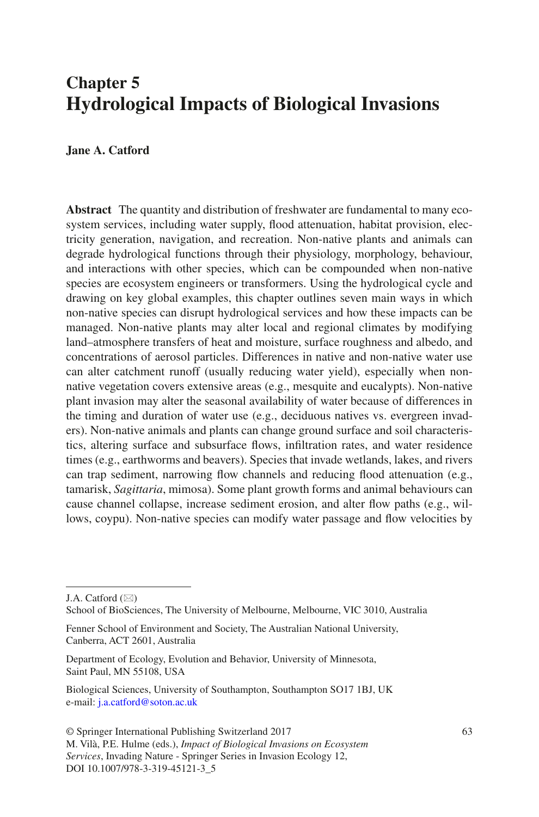# **Chapter 5 Hydrological Impacts of Biological Invasions**

#### **Jane A. Catford**

**Abstract** The quantity and distribution of freshwater are fundamental to many ecosystem services, including water supply, flood attenuation, habitat provision, electricity generation, navigation, and recreation. Non-native plants and animals can degrade hydrological functions through their physiology, morphology, behaviour, and interactions with other species, which can be compounded when non-native species are ecosystem engineers or transformers. Using the hydrological cycle and drawing on key global examples, this chapter outlines seven main ways in which non-native species can disrupt hydrological services and how these impacts can be managed. Non-native plants may alter local and regional climates by modifying land–atmosphere transfers of heat and moisture, surface roughness and albedo, and concentrations of aerosol particles. Differences in native and non-native water use can alter catchment runoff (usually reducing water yield), especially when nonnative vegetation covers extensive areas (e.g., mesquite and eucalypts). Non-native plant invasion may alter the seasonal availability of water because of differences in the timing and duration of water use (e.g., deciduous natives vs. evergreen invaders). Non-native animals and plants can change ground surface and soil characteristics, altering surface and subsurface flows, infiltration rates, and water residence times (e.g., earthworms and beavers). Species that invade wetlands, lakes, and rivers can trap sediment, narrowing flow channels and reducing flood attenuation (e.g., tamarisk, *Sagittaria*, mimosa). Some plant growth forms and animal behaviours can cause channel collapse, increase sediment erosion, and alter flow paths (e.g., willows, coypu). Non-native species can modify water passage and flow velocities by

School of BioSciences, The University of Melbourne, Melbourne, VIC 3010, Australia

J.A. Catford  $(\boxtimes)$ 

Fenner School of Environment and Society, The Australian National University, Canberra, ACT 2601, Australia

Department of Ecology, Evolution and Behavior, University of Minnesota, Saint Paul, MN 55108, USA

Biological Sciences, University of Southampton, Southampton SO17 1BJ, UK e-mail: [j.a.catford@soton.ac.uk](mailto:j.a.catford@soton.ac.uk)

<sup>©</sup> Springer International Publishing Switzerland 2017 63 M. Vilà, P.E. Hulme (eds.), *Impact of Biological Invasions on Ecosystem Services*, Invading Nature - Springer Series in Invasion Ecology 12, DOI 10.1007/978-3-319-45121-3\_5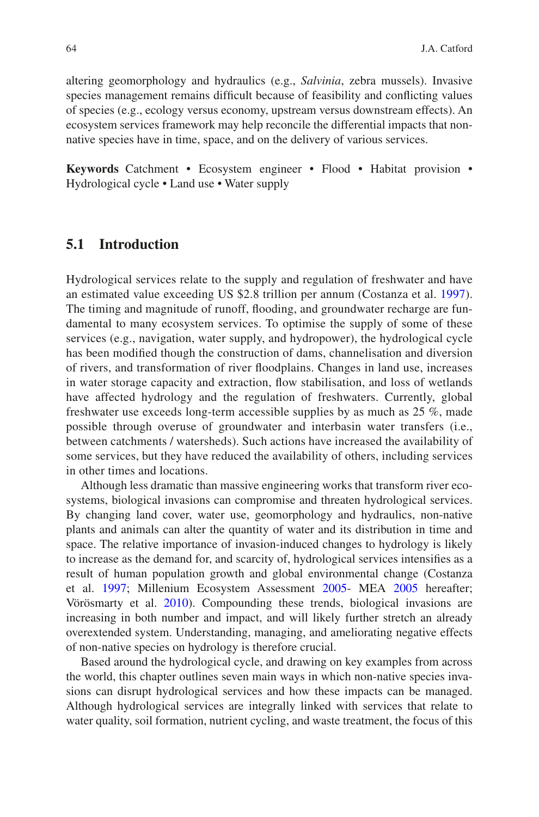altering geomorphology and hydraulics (e.g., *Salvinia*, zebra mussels). Invasive species management remains difficult because of feasibility and conflicting values of species (e.g., ecology versus economy, upstream versus downstream effects). An ecosystem services framework may help reconcile the differential impacts that nonnative species have in time, space, and on the delivery of various services.

**Keywords** Catchment • Ecosystem engineer • Flood • Habitat provision • Hydrological cycle • Land use • Water supply

## **5.1 Introduction**

Hydrological services relate to the supply and regulation of freshwater and have an estimated value exceeding US \$2.8 trillion per annum (Costanza et al. [1997\)](#page-16-0). The timing and magnitude of runoff, flooding, and groundwater recharge are fundamental to many ecosystem services. To optimise the supply of some of these services (e.g., navigation, water supply, and hydropower), the hydrological cycle has been modified though the construction of dams, channelisation and diversion of rivers, and transformation of river floodplains. Changes in land use, increases in water storage capacity and extraction, flow stabilisation, and loss of wetlands have affected hydrology and the regulation of freshwaters. Currently, global freshwater use exceeds long-term accessible supplies by as much as 25 %, made possible through overuse of groundwater and interbasin water transfers (i.e., between catchments / watersheds). Such actions have increased the availability of some services, but they have reduced the availability of others, including services in other times and locations.

Although less dramatic than massive engineering works that transform river ecosystems, biological invasions can compromise and threaten hydrological services. By changing land cover, water use, geomorphology and hydraulics, non-native plants and animals can alter the quantity of water and its distribution in time and space. The relative importance of invasion-induced changes to hydrology is likely to increase as the demand for, and scarcity of, hydrological services intensifies as a result of human population growth and global environmental change (Costanza et al. [1997](#page-16-0); Millenium Ecosystem Assessment [2005](#page-17-0)- MEA [2005](#page-17-0) hereafter; Vörösmarty et al. [2010\)](#page-17-1). Compounding these trends, biological invasions are increasing in both number and impact, and will likely further stretch an already overextended system. Understanding, managing, and ameliorating negative effects of non-native species on hydrology is therefore crucial.

Based around the hydrological cycle, and drawing on key examples from across the world, this chapter outlines seven main ways in which non-native species invasions can disrupt hydrological services and how these impacts can be managed. Although hydrological services are integrally linked with services that relate to water quality, soil formation, nutrient cycling, and waste treatment, the focus of this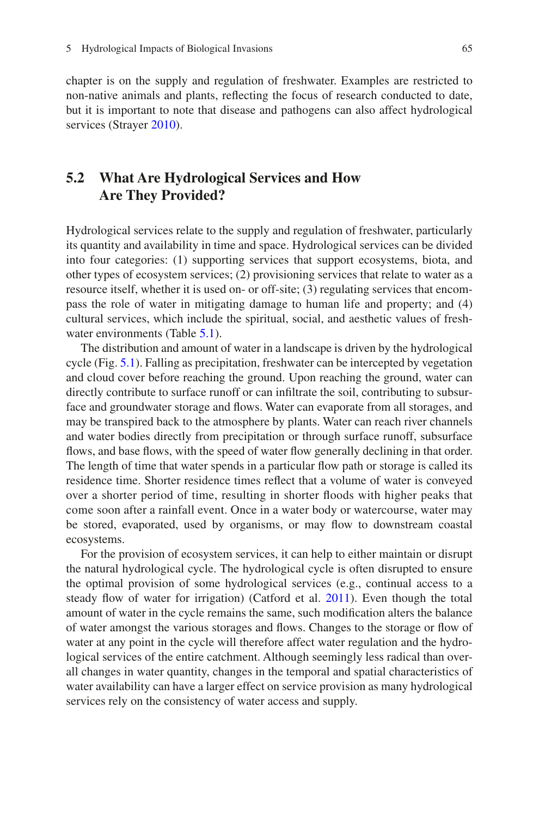chapter is on the supply and regulation of freshwater. Examples are restricted to non-native animals and plants, reflecting the focus of research conducted to date, but it is important to note that disease and pathogens can also affect hydrological services (Strayer [2010](#page-17-2)).

## **5.2 What Are Hydrological Services and How Are They Provided?**

Hydrological services relate to the supply and regulation of freshwater, particularly its quantity and availability in time and space. Hydrological services can be divided into four categories: (1) supporting services that support ecosystems, biota, and other types of ecosystem services; (2) provisioning services that relate to water as a resource itself, whether it is used on- or off-site; (3) regulating services that encompass the role of water in mitigating damage to human life and property; and (4) cultural services, which include the spiritual, social, and aesthetic values of fresh-water environments (Table [5.1](#page-3-0)).

The distribution and amount of water in a landscape is driven by the hydrological cycle (Fig. [5.1\)](#page-4-0). Falling as precipitation, freshwater can be intercepted by vegetation and cloud cover before reaching the ground. Upon reaching the ground, water can directly contribute to surface runoff or can infiltrate the soil, contributing to subsurface and groundwater storage and flows. Water can evaporate from all storages, and may be transpired back to the atmosphere by plants. Water can reach river channels and water bodies directly from precipitation or through surface runoff, subsurface flows, and base flows, with the speed of water flow generally declining in that order. The length of time that water spends in a particular flow path or storage is called its residence time. Shorter residence times reflect that a volume of water is conveyed over a shorter period of time, resulting in shorter floods with higher peaks that come soon after a rainfall event. Once in a water body or watercourse, water may be stored, evaporated, used by organisms, or may flow to downstream coastal ecosystems.

For the provision of ecosystem services, it can help to either maintain or disrupt the natural hydrological cycle. The hydrological cycle is often disrupted to ensure the optimal provision of some hydrological services (e.g., continual access to a steady flow of water for irrigation) (Catford et al. [2011\)](#page-16-1). Even though the total amount of water in the cycle remains the same, such modification alters the balance of water amongst the various storages and flows. Changes to the storage or flow of water at any point in the cycle will therefore affect water regulation and the hydrological services of the entire catchment. Although seemingly less radical than overall changes in water quantity, changes in the temporal and spatial characteristics of water availability can have a larger effect on service provision as many hydrological services rely on the consistency of water access and supply.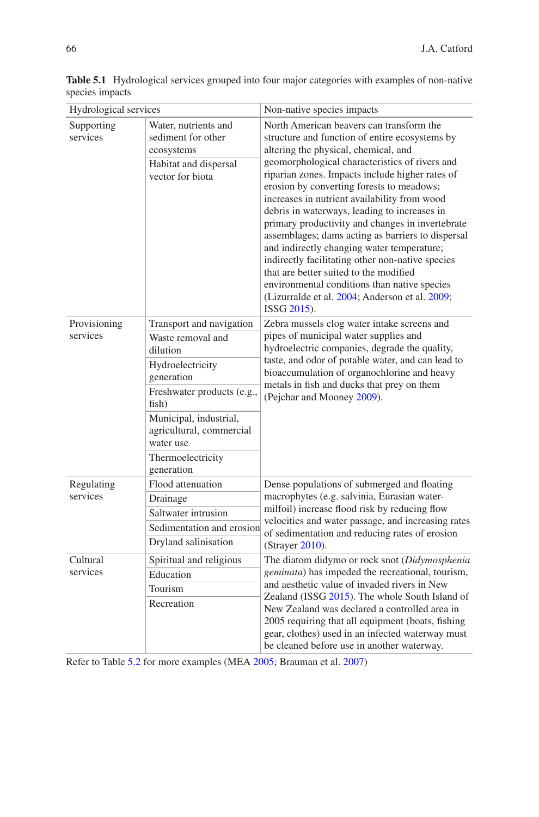| Hydrological services    |                                                                                                                                                                                                                                          | Non-native species impacts                                                                                                                                                                                                                                                                                                                                                                                                                                                                                                                                                                                                                                                                                                                                 |
|--------------------------|------------------------------------------------------------------------------------------------------------------------------------------------------------------------------------------------------------------------------------------|------------------------------------------------------------------------------------------------------------------------------------------------------------------------------------------------------------------------------------------------------------------------------------------------------------------------------------------------------------------------------------------------------------------------------------------------------------------------------------------------------------------------------------------------------------------------------------------------------------------------------------------------------------------------------------------------------------------------------------------------------------|
| Supporting<br>services   | Water, nutrients and<br>sediment for other<br>ecosystems<br>Habitat and dispersal<br>vector for biota                                                                                                                                    | North American beavers can transform the<br>structure and function of entire ecosystems by<br>altering the physical, chemical, and<br>geomorphological characteristics of rivers and<br>riparian zones. Impacts include higher rates of<br>erosion by converting forests to meadows;<br>increases in nutrient availability from wood<br>debris in waterways, leading to increases in<br>primary productivity and changes in invertebrate<br>assemblages; dams acting as barriers to dispersal<br>and indirectly changing water temperature;<br>indirectly facilitating other non-native species<br>that are better suited to the modified<br>environmental conditions than native species<br>(Lizurralde et al. 2004; Anderson et al. 2009;<br>ISSG 2015). |
| Provisioning<br>services | Transport and navigation<br>Waste removal and<br>dilution<br>Hydroelectricity<br>generation<br>Freshwater products (e.g.,<br>fish)<br>Municipal, industrial,<br>agricultural, commercial<br>water use<br>Thermoelectricity<br>generation | Zebra mussels clog water intake screens and<br>pipes of municipal water supplies and<br>hydroelectric companies, degrade the quality,<br>taste, and odor of potable water, and can lead to<br>bioaccumulation of organochlorine and heavy<br>metals in fish and ducks that prey on them<br>(Pejchar and Mooney 2009).                                                                                                                                                                                                                                                                                                                                                                                                                                      |
| Regulating<br>services   | Flood attenuation<br>Drainage<br>Saltwater intrusion<br>Sedimentation and erosion<br>Dryland salinisation                                                                                                                                | Dense populations of submerged and floating<br>macrophytes (e.g. salvinia, Eurasian water-<br>milfoil) increase flood risk by reducing flow<br>velocities and water passage, and increasing rates<br>of sedimentation and reducing rates of erosion<br>(Strayer $2010$ ).                                                                                                                                                                                                                                                                                                                                                                                                                                                                                  |
| Cultural<br>services     | Spiritual and religious<br>Education<br>Tourism<br>Recreation                                                                                                                                                                            | The diatom didymo or rock snot (Didymosphenia<br><i>geminata</i> ) has impeded the recreational, tourism,<br>and aesthetic value of invaded rivers in New<br>Zealand (ISSG 2015). The whole South Island of<br>New Zealand was declared a controlled area in<br>2005 requiring that all equipment (boats, fishing<br>gear, clothes) used in an infected waterway must<br>be cleaned before use in another waterway.                                                                                                                                                                                                                                                                                                                                        |

<span id="page-3-0"></span>**Table 5.1** Hydrological services grouped into four major categories with examples of non-native species impacts

Refer to Table [5.2](#page-5-0) for more examples (MEA [2005;](#page-17-0) Brauman et al. [2007\)](#page-16-4)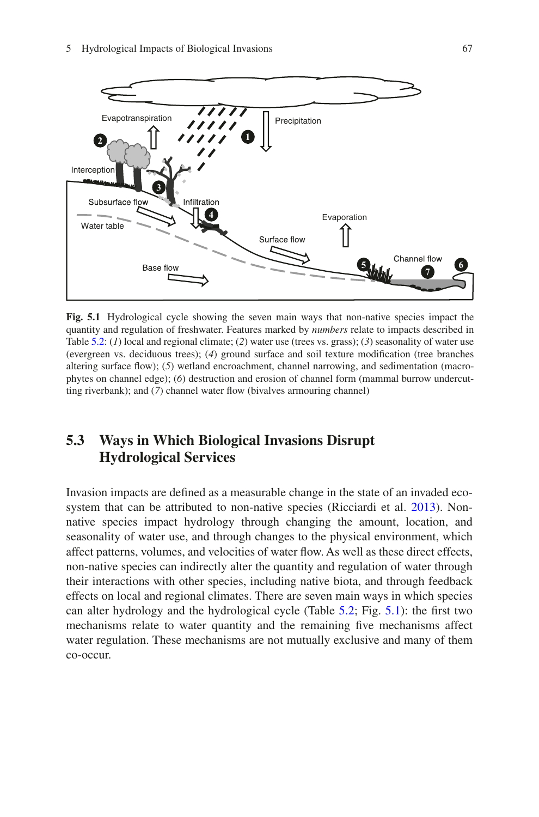<span id="page-4-0"></span>

**Fig. 5.1** Hydrological cycle showing the seven main ways that non-native species impact the quantity and regulation of freshwater. Features marked by *numbers* relate to impacts described in Table [5.2](#page-5-0): (*1*) local and regional climate; (*2*) water use (trees vs. grass); (*3*) seasonality of water use (evergreen vs. deciduous trees); (*4*) ground surface and soil texture modification (tree branches altering surface flow); (*5*) wetland encroachment, channel narrowing, and sedimentation (macrophytes on channel edge); (*6*) destruction and erosion of channel form (mammal burrow undercutting riverbank); and (*7*) channel water flow (bivalves armouring channel)

## **5.3 Ways in Which Biological Invasions Disrupt Hydrological Services**

Invasion impacts are defined as a measurable change in the state of an invaded eco-system that can be attributed to non-native species (Ricciardi et al. [2013](#page-17-5)). Nonnative species impact hydrology through changing the amount, location, and seasonality of water use, and through changes to the physical environment, which affect patterns, volumes, and velocities of water flow. As well as these direct effects, non-native species can indirectly alter the quantity and regulation of water through their interactions with other species, including native biota, and through feedback effects on local and regional climates. There are seven main ways in which species can alter hydrology and the hydrological cycle (Table [5.2](#page-5-0); Fig. [5.1\)](#page-4-0): the first two mechanisms relate to water quantity and the remaining five mechanisms affect water regulation. These mechanisms are not mutually exclusive and many of them co-occur.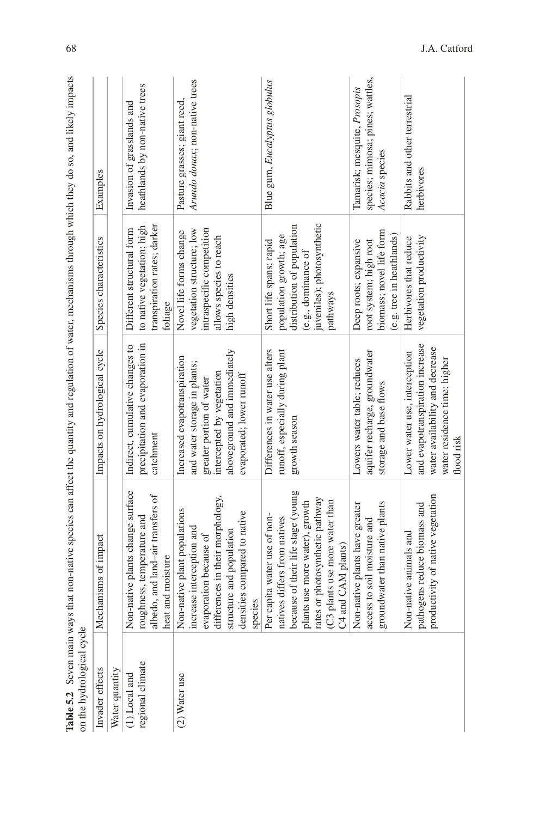| on the hydrological cycle           |                                                                                                     |                                                                                          |                                                                                        |                                                                |
|-------------------------------------|-----------------------------------------------------------------------------------------------------|------------------------------------------------------------------------------------------|----------------------------------------------------------------------------------------|----------------------------------------------------------------|
| Invader effects                     | echanisms of impact<br>Σ                                                                            | Impacts on hydrological cycle                                                            | Species characteristics                                                                | Examples                                                       |
| Water quantity                      |                                                                                                     |                                                                                          |                                                                                        |                                                                |
| regional climate<br>$(1)$ Local and | Non-native plants change surface<br>albedo, and land-air transfers of<br>roughness, temperature and | precipitation and evaporation in<br>Indirect, cumulative changes to<br>catchment         | transpiration rates; darker<br>to native vegetation; high<br>Different structural form | heathlands by non-native trees<br>Invasion of grasslands and   |
|                                     | heat and moisture                                                                                   |                                                                                          | foliage                                                                                |                                                                |
| $(2)$ Water use                     | Non-native plant populations<br>increase interception and<br>evaporation because of                 | Increased evapotranspiration<br>and water storage in plants;<br>greater portion of water | vegetation structure; low<br>intraspecific competition<br>Novel life forms change      | Arundo donax; non-native trees<br>Pasture grasses; giant reed, |
|                                     | differences in their morphology,                                                                    | intercepted by vegetation                                                                | allows species to reach                                                                |                                                                |
|                                     | densities compared to native<br>structure and population<br>species                                 | aboveground and immediately<br>evaporated; lower runoff                                  | high densities                                                                         |                                                                |
|                                     | Per capita water use of non-                                                                        | Differences in water use alters                                                          | Short life spans; rapid                                                                | Blue gum, Eucalyptus globulus                                  |
|                                     | because of their life stage (young<br>natives differs from natives                                  | runoff, especially during plant<br>growth season                                         | distribution of population<br>population growth; age                                   |                                                                |
|                                     | plants use more water), growth                                                                      |                                                                                          | (e.g., dominance of                                                                    |                                                                |
|                                     | rates or photosynthetic pathway<br>(C3 plants use more water than $C4$ and $CAM$ plants)            |                                                                                          | juveniles); photosynthetic<br>pathways                                                 |                                                                |
|                                     | Non-native plants have greater                                                                      | Lowers water table; reduces                                                              | Deep roots; expansive                                                                  | Tamarisk; mesquite, Prosopis                                   |
|                                     | access to soil moisture and                                                                         | aquifer recharge, groundwater                                                            | root system; high root                                                                 | species; mimosa; pines; wattles,                               |
|                                     | groundwater than native plants                                                                      | storage and base flows                                                                   | biomass; novel life form<br>(e.g. tree in heathlands)                                  | Acacia species                                                 |
|                                     | Non-native animals and                                                                              | Lower water use, interception                                                            | Herbivores that reduce                                                                 | Rabbits and other terrestrial                                  |
|                                     | productivity of native vegetation<br>pathogens reduce biomass and                                   | and evapotranspiration increase<br>water availability and decrease                       | vegetation productivity                                                                | herbivores                                                     |
|                                     |                                                                                                     | water residence time; higher<br>flood risk                                               |                                                                                        |                                                                |

<span id="page-5-0"></span>Table 5.2 Seven main ways that non-native species can affect the quantity and regulation of water, mechanisms through which they do so, and likely impacts **Table 5.2** Seven main ways that non-native species can affect the quantity and regulation of water, mechanisms through which they do so, and likely impacts on the hydrological cycle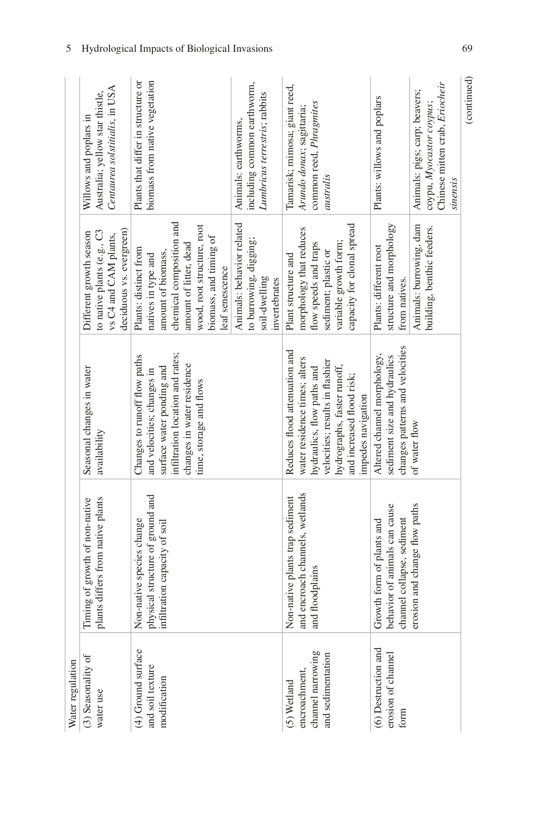|                  | Centaurea solstitialis, in USA<br>Australia; yellow star thistle,<br>Willows and poplars in                   | biomass from native vegetation<br>Plants that differ in structure or                                                                                                                                | including common earthworm,<br>Lumbricus terrestris; rabbits<br>Animals: earthworms,  | Tamarisk; mimosa; giant reed,<br>common reed, Phragmites<br>Arundo donax; sagittaria;<br>australis                                                                                                                | Chinese mitten crab, Eriocheir<br>Animals: pigs; carp; beavers;<br>Plants: willows and poplars<br>coypu, Myocastor coypus;<br>sinensis |
|------------------|---------------------------------------------------------------------------------------------------------------|-----------------------------------------------------------------------------------------------------------------------------------------------------------------------------------------------------|---------------------------------------------------------------------------------------|-------------------------------------------------------------------------------------------------------------------------------------------------------------------------------------------------------------------|----------------------------------------------------------------------------------------------------------------------------------------|
|                  | deciduous vs. evergreen)<br>to native plants (e.g., $C_3$<br>Different growth season<br>vs C4 and CAM plants, | chemical composition and<br>wood, root structure, root<br>biomass, and timing of<br>amount of litter, dead<br>Plants: distinct from<br>amount of biomass,<br>natives in type and<br>leaf senescence | Animals: behavior related<br>to burrowing, digging;<br>soil-dwelling<br>invertebrates | capacity for clonal spread<br>morphology that reduces<br>variable growth form;<br>flow speeds and traps<br>sediment; plastic or<br>Plant structure and                                                            | Animals: burrowing, dam<br>structure and morphology<br>building, benthic feeders.<br>Plants: different root<br>from natives.           |
|                  | Seasonal changes in water<br>availability                                                                     | infiltration location and rates;<br>Changes to runoff flow paths<br>changes in water residence<br>surface water ponding and<br>and velocities; changes in<br>time, storage and flows                |                                                                                       | Reduces flood attenuation and<br>water residence times; alters<br>velocities; results in flashier<br>hydrographs, faster runoff,<br>hydraulics, flow paths and<br>and increased flood risk;<br>impedes navigation | changes patterns and velocities<br>Altered channel morphology,<br>sediment size and hydraulics<br>of water flow                        |
|                  | plants differs from native plants<br>Timing of growth of non-native                                           | physical structure of ground and<br>Non-native species change<br>infiltration capacity of soil                                                                                                      |                                                                                       | and encroach channels, wetlands<br>Non-native plants trap sediment<br>and floodplains                                                                                                                             | erosion and change flow paths<br>behavior of animals can cause<br>channel collapse, sediment<br>Growth form of plants and              |
| Water regulation | $(3)$ Seasonality of<br>water use                                                                             | (4) Ground surface<br>and soil texture<br>modification                                                                                                                                              |                                                                                       | channel narrowing<br>and sedimentation<br>encroachment,<br>(5) Wetland                                                                                                                                            | (6) Destruction and<br>erosion of channel<br>form                                                                                      |

 $(continued)$ (continued)

69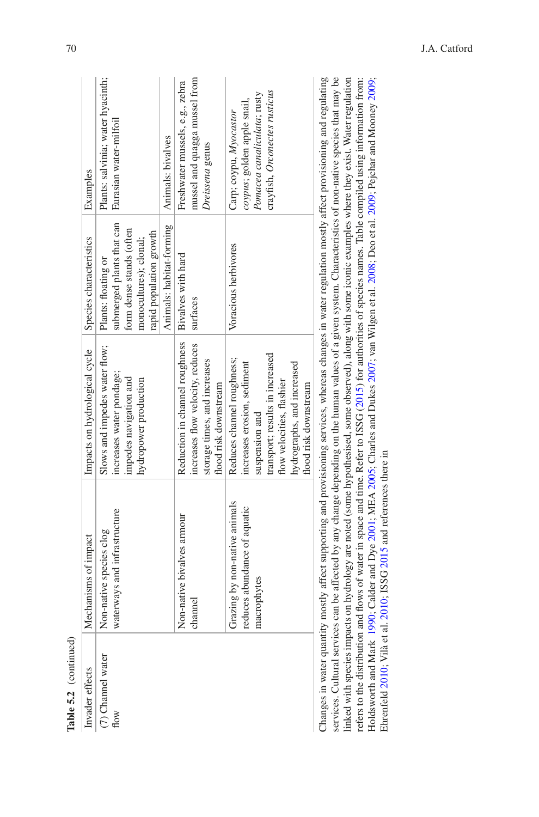| Invader effects           | Mechanisms of impact                                    | Impacts on hydrological cycle                             | Species characteristics                          | Examples                                                    |
|---------------------------|---------------------------------------------------------|-----------------------------------------------------------|--------------------------------------------------|-------------------------------------------------------------|
| (7) Channel water<br>flow | waterways and infrastructure<br>Non-native species clog | Slows and impedes water flow;<br>increases water pondage; | submerged plants that can<br>Plants: floating or | Plants: salvinia; water hyacinth;<br>Eurasian water-milfoil |
|                           |                                                         | impedes navigation and                                    | form dense stands (often                         |                                                             |
|                           |                                                         | hydropower production                                     | monocultures); clonal;                           |                                                             |
|                           |                                                         |                                                           | rapid population growth                          |                                                             |
|                           |                                                         |                                                           | Animals: habitat-forming                         | Animals: bivalves                                           |
|                           | Non-native bivalves armour                              | Reduction in channel roughness   Bivalves with hard       |                                                  | Freshwater mussels, e.g., zebra                             |
|                           | hannel                                                  | increases flow velocity, reduces                          | surfaces                                         | mussel and quagga mussel from                               |
|                           |                                                         | storage times, and increases                              |                                                  | Dreissena genus                                             |
|                           |                                                         | flood risk downstream                                     |                                                  |                                                             |
|                           | Grazing by non-native animals                           | Reduces channel roughness;                                | Voracious herbivores                             | Carp; coypu, Myocastor                                      |
|                           | educes abundance of aquatic                             | increases erosion, sediment                               |                                                  | coypus; golden apple snail,                                 |
|                           | nacrophytes                                             | suspension and                                            |                                                  | Pomacea canaliculata; rusty                                 |
|                           |                                                         | transport; results in increased                           |                                                  | crayfish, Orconectes rusticus                               |
|                           |                                                         | flow velocities, flashier                                 |                                                  |                                                             |
|                           |                                                         | hydrographs, and increased                                |                                                  |                                                             |
|                           |                                                         | flood risk downstream                                     |                                                  |                                                             |

Changes in water quantity mostly affect supporting and provisioning services, whereas changes in water regulation mostly affect provisioning and regulating<br>services. Cultural services can be affected by any change dependin services. Cultural services can be affected by any change depending on the human values of a given system. Characteristics of non-native species that may be linked with species impacts on hydrology are noted (some hypothesised, some observed), along with some iconic examples where they exist. Water regulation linked with species impacts on hydrology are noted (some hypothesised, some observed), along with some iconic examples where they exist. Water regulation refers to the distribution and flows of water in space and time. Refer to ISSG (2015) for authorities of species names. Table compiled using information from: refers to the distribution and flows of water in space and time. Refer to ISSG ([2015\)](#page-16-3) for authorities of species names. Table compiled using information from: Holdsworth and Mark 1990; Calder and Dye 2001; MEA 2005; Charles and Dukes 2007; van Wilgen et al. 2008; Deo et al. 2009; Pejchar and Mooney 2009; Holdsworth and Mark [1990](#page-16-5); Calder and Dye [2001](#page-16-6); MEA [2005](#page-17-0); Charles and Dukes [2007](#page-16-7); van Wilgen et al. [2008](#page-17-6); Deo et al. [2009](#page-16-8); Pejchar and Mooney [2009](#page-17-4); Ehrenfeld 2010; Vilà et al. 2010; ISSG 2015 and references there in Ehrenfeld [2010](#page-16-9); Vilà et al. [2010](#page-17-7); ISSG [2015](#page-16-3) and references there in

Table 5.2 (continued)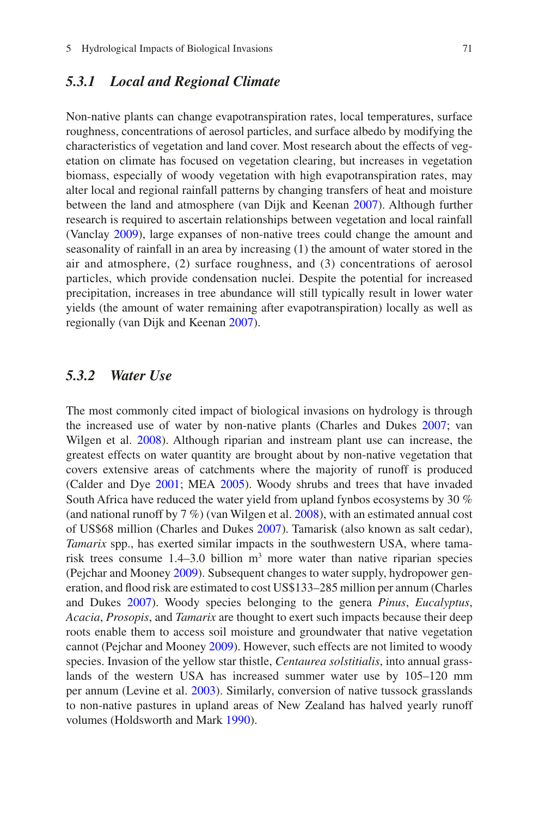#### *5.3.1 Local and Regional Climate*

Non-native plants can change evapotranspiration rates, local temperatures, surface roughness, concentrations of aerosol particles, and surface albedo by modifying the characteristics of vegetation and land cover. Most research about the effects of vegetation on climate has focused on vegetation clearing, but increases in vegetation biomass, especially of woody vegetation with high evapotranspiration rates, may alter local and regional rainfall patterns by changing transfers of heat and moisture between the land and atmosphere (van Dijk and Keenan [2007](#page-17-8)). Although further research is required to ascertain relationships between vegetation and local rainfall (Vanclay [2009\)](#page-17-9), large expanses of non-native trees could change the amount and seasonality of rainfall in an area by increasing (1) the amount of water stored in the air and atmosphere, (2) surface roughness, and (3) concentrations of aerosol particles, which provide condensation nuclei. Despite the potential for increased precipitation, increases in tree abundance will still typically result in lower water yields (the amount of water remaining after evapotranspiration) locally as well as regionally (van Dijk and Keenan [2007\)](#page-17-8).

#### *5.3.2 Water Use*

The most commonly cited impact of biological invasions on hydrology is through the increased use of water by non-native plants (Charles and Dukes [2007](#page-16-7); van Wilgen et al. [2008\)](#page-17-6). Although riparian and instream plant use can increase, the greatest effects on water quantity are brought about by non-native vegetation that covers extensive areas of catchments where the majority of runoff is produced (Calder and Dye [2001;](#page-16-6) MEA [2005\)](#page-17-0). Woody shrubs and trees that have invaded South Africa have reduced the water yield from upland fynbos ecosystems by 30 % (and national runoff by 7 %) (van Wilgen et al. [2008](#page-17-6)), with an estimated annual cost of US\$68 million (Charles and Dukes [2007\)](#page-16-7). Tamarisk (also known as salt cedar), *Tamarix* spp., has exerted similar impacts in the southwestern USA, where tamarisk trees consume  $1.4-3.0$  billion  $m<sup>3</sup>$  more water than native riparian species (Pejchar and Mooney [2009\)](#page-17-4). Subsequent changes to water supply, hydropower generation, and flood risk are estimated to cost US\$133–285 million per annum (Charles and Dukes [2007\)](#page-16-7). Woody species belonging to the genera *Pinus*, *Eucalyptus*, *Acacia*, *Prosopis*, and *Tamarix* are thought to exert such impacts because their deep roots enable them to access soil moisture and groundwater that native vegetation cannot (Pejchar and Mooney [2009\)](#page-17-4). However, such effects are not limited to woody species. Invasion of the yellow star thistle, *Centaurea solstitialis*, into annual grasslands of the western USA has increased summer water use by 105–120 mm per annum (Levine et al. [2003\)](#page-16-10). Similarly, conversion of native tussock grasslands to non-native pastures in upland areas of New Zealand has halved yearly runoff volumes (Holdsworth and Mark [1990](#page-16-5)).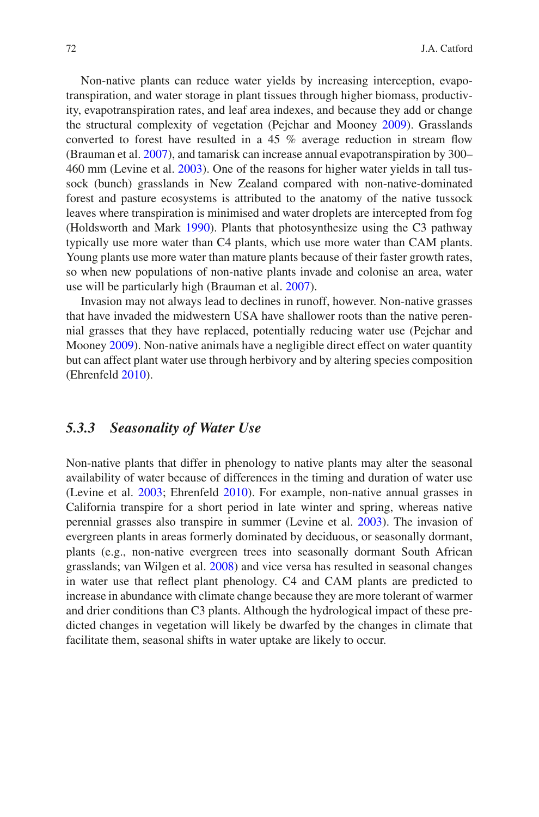Non-native plants can reduce water yields by increasing interception, evapotranspiration, and water storage in plant tissues through higher biomass, productivity, evapotranspiration rates, and leaf area indexes, and because they add or change the structural complexity of vegetation (Pejchar and Mooney [2009\)](#page-17-4). Grasslands converted to forest have resulted in a 45 % average reduction in stream flow (Brauman et al. [2007\)](#page-16-4), and tamarisk can increase annual evapotranspiration by 300– 460 mm (Levine et al. [2003](#page-16-10)). One of the reasons for higher water yields in tall tussock (bunch) grasslands in New Zealand compared with non-native-dominated forest and pasture ecosystems is attributed to the anatomy of the native tussock leaves where transpiration is minimised and water droplets are intercepted from fog (Holdsworth and Mark [1990](#page-16-5)). Plants that photosynthesize using the C3 pathway typically use more water than C4 plants, which use more water than CAM plants. Young plants use more water than mature plants because of their faster growth rates, so when new populations of non-native plants invade and colonise an area, water use will be particularly high (Brauman et al. [2007\)](#page-16-4).

Invasion may not always lead to declines in runoff, however. Non-native grasses that have invaded the midwestern USA have shallower roots than the native perennial grasses that they have replaced, potentially reducing water use (Pejchar and Mooney [2009](#page-17-4)). Non-native animals have a negligible direct effect on water quantity but can affect plant water use through herbivory and by altering species composition (Ehrenfeld [2010](#page-16-9)).

#### *5.3.3 Seasonality of Water Use*

Non-native plants that differ in phenology to native plants may alter the seasonal availability of water because of differences in the timing and duration of water use (Levine et al. [2003;](#page-16-10) Ehrenfeld [2010](#page-16-9)). For example, non-native annual grasses in California transpire for a short period in late winter and spring, whereas native perennial grasses also transpire in summer (Levine et al. [2003\)](#page-16-10). The invasion of evergreen plants in areas formerly dominated by deciduous, or seasonally dormant, plants (e.g., non-native evergreen trees into seasonally dormant South African grasslands; van Wilgen et al. [2008\)](#page-17-6) and vice versa has resulted in seasonal changes in water use that reflect plant phenology. C4 and CAM plants are predicted to increase in abundance with climate change because they are more tolerant of warmer and drier conditions than C3 plants. Although the hydrological impact of these predicted changes in vegetation will likely be dwarfed by the changes in climate that facilitate them, seasonal shifts in water uptake are likely to occur.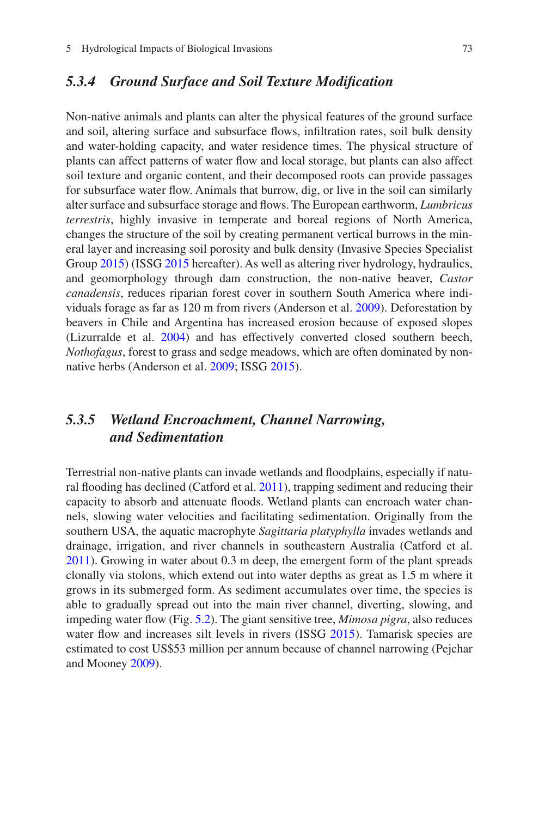## *5.3.4 Ground Surface and Soil Texture Modification*

Non-native animals and plants can alter the physical features of the ground surface and soil, altering surface and subsurface flows, infiltration rates, soil bulk density and water-holding capacity, and water residence times. The physical structure of plants can affect patterns of water flow and local storage, but plants can also affect soil texture and organic content, and their decomposed roots can provide passages for subsurface water flow. Animals that burrow, dig, or live in the soil can similarly alter surface and subsurface storage and flows. The European earthworm, *Lumbricus terrestris*, highly invasive in temperate and boreal regions of North America, changes the structure of the soil by creating permanent vertical burrows in the mineral layer and increasing soil porosity and bulk density (Invasive Species Specialist Group [2015\)](#page-16-3) (ISSG [2015](#page-16-3) hereafter). As well as altering river hydrology, hydraulics, and geomorphology through dam construction, the non-native beaver, *Castor canadensis*, reduces riparian forest cover in southern South America where individuals forage as far as 120 m from rivers (Anderson et al. [2009](#page-16-2)). Deforestation by beavers in Chile and Argentina has increased erosion because of exposed slopes (Lizurralde et al. [2004](#page-17-3)) and has effectively converted closed southern beech, *Nothofagus*, forest to grass and sedge meadows, which are often dominated by nonnative herbs (Anderson et al. [2009](#page-16-2); ISSG [2015\)](#page-16-3).

# *5.3.5 Wetland Encroachment, Channel Narrowing, and Sedimentation*

Terrestrial non-native plants can invade wetlands and floodplains, especially if natural flooding has declined (Catford et al. [2011](#page-16-1)), trapping sediment and reducing their capacity to absorb and attenuate floods. Wetland plants can encroach water channels, slowing water velocities and facilitating sedimentation. Originally from the southern USA, the aquatic macrophyte *Sagittaria platyphylla* invades wetlands and drainage, irrigation, and river channels in southeastern Australia (Catford et al. [2011\)](#page-16-1). Growing in water about 0.3 m deep, the emergent form of the plant spreads clonally via stolons, which extend out into water depths as great as 1.5 m where it grows in its submerged form. As sediment accumulates over time, the species is able to gradually spread out into the main river channel, diverting, slowing, and impeding water flow (Fig. [5.2\)](#page-11-0). The giant sensitive tree, *Mimosa pigra*, also reduces water flow and increases silt levels in rivers (ISSG [2015\)](#page-16-3). Tamarisk species are estimated to cost US\$53 million per annum because of channel narrowing (Pejchar and Mooney [2009](#page-17-4)).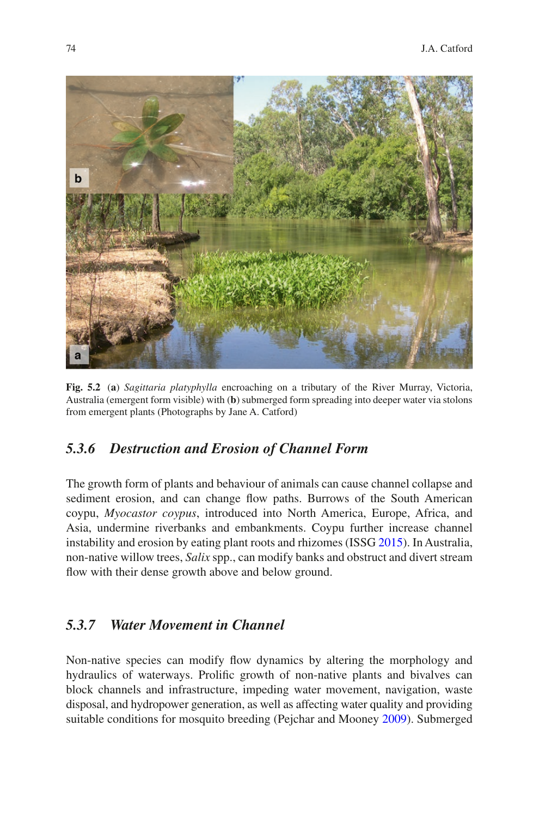<span id="page-11-0"></span>

**Fig. 5.2** (**a**) *Sagittaria platyphylla* encroaching on a tributary of the River Murray, Victoria, Australia (emergent form visible) with (**b**) submerged form spreading into deeper water via stolons from emergent plants (Photographs by Jane A. Catford)

## *5.3.6 Destruction and Erosion of Channel Form*

The growth form of plants and behaviour of animals can cause channel collapse and sediment erosion, and can change flow paths. Burrows of the South American coypu, *Myocastor coypus*, introduced into North America, Europe, Africa, and Asia, undermine riverbanks and embankments. Coypu further increase channel instability and erosion by eating plant roots and rhizomes (ISSG [2015\)](#page-16-3). In Australia, non-native willow trees, *Salix* spp., can modify banks and obstruct and divert stream flow with their dense growth above and below ground.

## *5.3.7 Water Movement in Channel*

Non-native species can modify flow dynamics by altering the morphology and hydraulics of waterways. Prolific growth of non-native plants and bivalves can block channels and infrastructure, impeding water movement, navigation, waste disposal, and hydropower generation, as well as affecting water quality and providing suitable conditions for mosquito breeding (Pejchar and Mooney [2009\)](#page-17-4). Submerged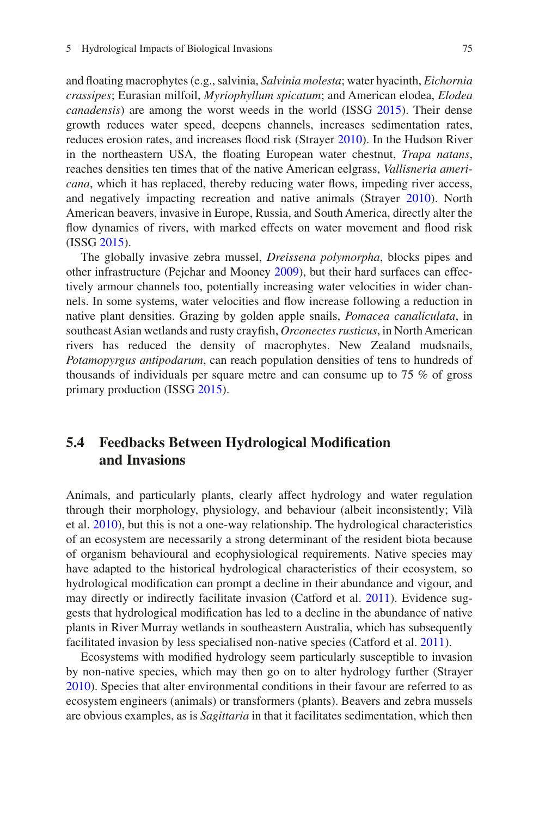and floating macrophytes (e.g., salvinia, *Salvinia molesta*; water hyacinth, *Eichornia crassipes*; Eurasian milfoil, *Myriophyllum spicatum*; and American elodea, *Elodea canadensis*) are among the worst weeds in the world (ISSG [2015\)](#page-16-3). Their dense growth reduces water speed, deepens channels, increases sedimentation rates, reduces erosion rates, and increases flood risk (Strayer [2010](#page-17-2)). In the Hudson River in the northeastern USA, the floating European water chestnut, *Trapa natans*, reaches densities ten times that of the native American eelgrass, *Vallisneria americana*, which it has replaced, thereby reducing water flows, impeding river access, and negatively impacting recreation and native animals (Strayer [2010](#page-17-2)). North American beavers, invasive in Europe, Russia, and South America, directly alter the flow dynamics of rivers, with marked effects on water movement and flood risk (ISSG [2015](#page-16-3)).

The globally invasive zebra mussel, *Dreissena polymorpha*, blocks pipes and other infrastructure (Pejchar and Mooney [2009\)](#page-17-4), but their hard surfaces can effectively armour channels too, potentially increasing water velocities in wider channels. In some systems, water velocities and flow increase following a reduction in native plant densities. Grazing by golden apple snails, *Pomacea canaliculata*, in southeast Asian wetlands and rusty crayfish, *Orconectes rusticus*, in North American rivers has reduced the density of macrophytes. New Zealand mudsnails, *Potamopyrgus antipodarum*, can reach population densities of tens to hundreds of thousands of individuals per square metre and can consume up to 75 % of gross primary production (ISSG [2015](#page-16-3)).

## **5.4 Feedbacks Between Hydrological Modification and Invasions**

Animals, and particularly plants, clearly affect hydrology and water regulation through their morphology, physiology, and behaviour (albeit inconsistently; Vilà et al. [2010\)](#page-17-7), but this is not a one-way relationship. The hydrological characteristics of an ecosystem are necessarily a strong determinant of the resident biota because of organism behavioural and ecophysiological requirements. Native species may have adapted to the historical hydrological characteristics of their ecosystem, so hydrological modification can prompt a decline in their abundance and vigour, and may directly or indirectly facilitate invasion (Catford et al. [2011](#page-16-1)). Evidence suggests that hydrological modification has led to a decline in the abundance of native plants in River Murray wetlands in southeastern Australia, which has subsequently facilitated invasion by less specialised non-native species (Catford et al. [2011\)](#page-16-1).

Ecosystems with modified hydrology seem particularly susceptible to invasion by non-native species, which may then go on to alter hydrology further (Strayer [2010\)](#page-17-2). Species that alter environmental conditions in their favour are referred to as ecosystem engineers (animals) or transformers (plants). Beavers and zebra mussels are obvious examples, as is *Sagittaria* in that it facilitates sedimentation, which then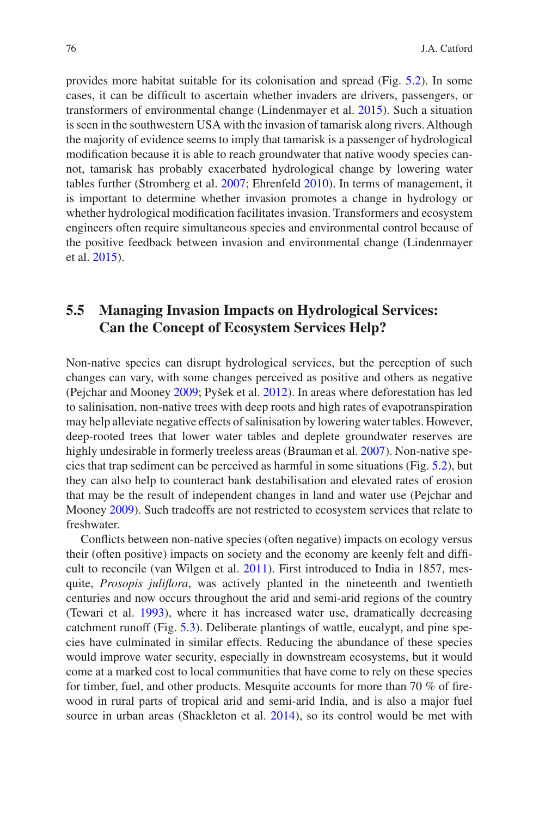provides more habitat suitable for its colonisation and spread (Fig. [5.2](#page-11-0)). In some cases, it can be difficult to ascertain whether invaders are drivers, passengers, or transformers of environmental change (Lindenmayer et al. [2015](#page-16-11)). Such a situation is seen in the southwestern USA with the invasion of tamarisk along rivers. Although the majority of evidence seems to imply that tamarisk is a passenger of hydrological modification because it is able to reach groundwater that native woody species cannot, tamarisk has probably exacerbated hydrological change by lowering water tables further (Stromberg et al. [2007](#page-17-10); Ehrenfeld [2010](#page-16-9)). In terms of management, it is important to determine whether invasion promotes a change in hydrology or whether hydrological modification facilitates invasion. Transformers and ecosystem engineers often require simultaneous species and environmental control because of the positive feedback between invasion and environmental change (Lindenmayer et al. [2015\)](#page-16-11).

## **5.5 Managing Invasion Impacts on Hydrological Services: Can the Concept of Ecosystem Services Help?**

Non-native species can disrupt hydrological services, but the perception of such changes can vary, with some changes perceived as positive and others as negative (Pejchar and Mooney [2009;](#page-17-4) Pyšek et al. [2012\)](#page-17-11). In areas where deforestation has led to salinisation, non-native trees with deep roots and high rates of evapotranspiration may help alleviate negative effects of salinisation by lowering water tables. However, deep-rooted trees that lower water tables and deplete groundwater reserves are highly undesirable in formerly treeless areas (Brauman et al. [2007](#page-16-4)). Non-native species that trap sediment can be perceived as harmful in some situations (Fig. [5.2\)](#page-11-0), but they can also help to counteract bank destabilisation and elevated rates of erosion that may be the result of independent changes in land and water use (Pejchar and Mooney [2009](#page-17-4)). Such tradeoffs are not restricted to ecosystem services that relate to freshwater.

Conflicts between non-native species (often negative) impacts on ecology versus their (often positive) impacts on society and the economy are keenly felt and difficult to reconcile (van Wilgen et al. [2011\)](#page-17-12). First introduced to India in 1857, mesquite, *Prosopis juliflora*, was actively planted in the nineteenth and twentieth centuries and now occurs throughout the arid and semi-arid regions of the country (Tewari et al. [1993](#page-17-13)), where it has increased water use, dramatically decreasing catchment runoff (Fig. [5.3\)](#page-14-0). Deliberate plantings of wattle, eucalypt, and pine species have culminated in similar effects. Reducing the abundance of these species would improve water security, especially in downstream ecosystems, but it would come at a marked cost to local communities that have come to rely on these species for timber, fuel, and other products. Mesquite accounts for more than 70 % of firewood in rural parts of tropical arid and semi-arid India, and is also a major fuel source in urban areas (Shackleton et al. [2014\)](#page-17-14), so its control would be met with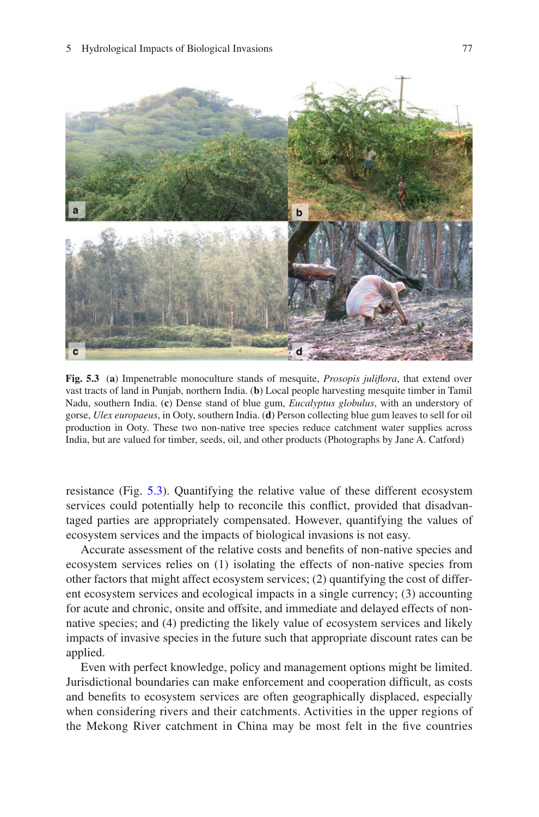<span id="page-14-0"></span>

**Fig. 5.3** (**a**) Impenetrable monoculture stands of mesquite, *Prosopis juliflora*, that extend over vast tracts of land in Punjab, northern India. (**b**) Local people harvesting mesquite timber in Tamil Nadu, southern India. (**c**) Dense stand of blue gum, *Eucalyptus globulus*, with an understory of gorse, *Ulex europaeus*, in Ooty, southern India. (**d**) Person collecting blue gum leaves to sell for oil production in Ooty. These two non-native tree species reduce catchment water supplies across India, but are valued for timber, seeds, oil, and other products (Photographs by Jane A. Catford)

resistance (Fig. [5.3\)](#page-14-0). Quantifying the relative value of these different ecosystem services could potentially help to reconcile this conflict, provided that disadvantaged parties are appropriately compensated. However, quantifying the values of ecosystem services and the impacts of biological invasions is not easy.

Accurate assessment of the relative costs and benefits of non-native species and ecosystem services relies on (1) isolating the effects of non-native species from other factors that might affect ecosystem services; (2) quantifying the cost of different ecosystem services and ecological impacts in a single currency; (3) accounting for acute and chronic, onsite and offsite, and immediate and delayed effects of nonnative species; and (4) predicting the likely value of ecosystem services and likely impacts of invasive species in the future such that appropriate discount rates can be applied.

Even with perfect knowledge, policy and management options might be limited. Jurisdictional boundaries can make enforcement and cooperation difficult, as costs and benefits to ecosystem services are often geographically displaced, especially when considering rivers and their catchments. Activities in the upper regions of the Mekong River catchment in China may be most felt in the five countries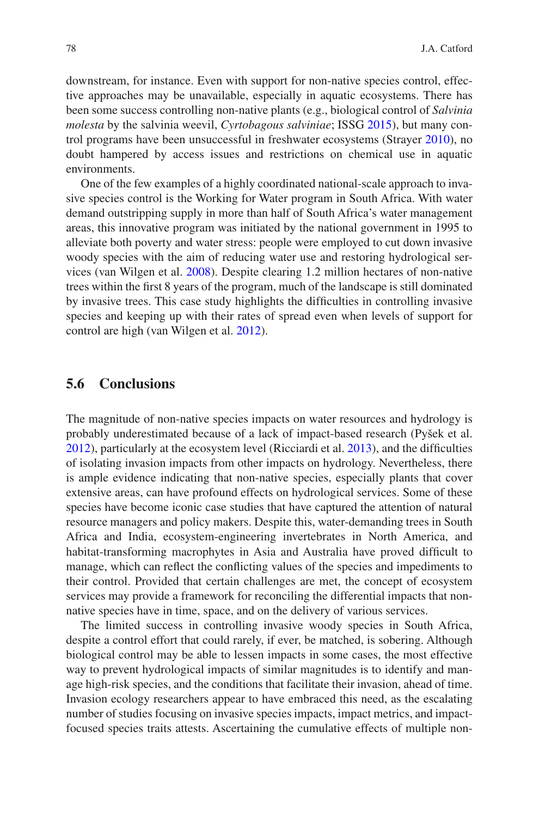downstream, for instance. Even with support for non-native species control, effective approaches may be unavailable, especially in aquatic ecosystems. There has been some success controlling non-native plants (e.g., biological control of *Salvinia molesta* by the salvinia weevil, *Cyrtobagous salviniae*; ISSG [2015\)](#page-16-3), but many control programs have been unsuccessful in freshwater ecosystems (Strayer [2010\)](#page-17-2), no doubt hampered by access issues and restrictions on chemical use in aquatic environments.

One of the few examples of a highly coordinated national-scale approach to invasive species control is the Working for Water program in South Africa. With water demand outstripping supply in more than half of South Africa's water management areas, this innovative program was initiated by the national government in 1995 to alleviate both poverty and water stress: people were employed to cut down invasive woody species with the aim of reducing water use and restoring hydrological services (van Wilgen et al. [2008\)](#page-17-6). Despite clearing 1.2 million hectares of non-native trees within the first 8 years of the program, much of the landscape is still dominated by invasive trees. This case study highlights the difficulties in controlling invasive species and keeping up with their rates of spread even when levels of support for control are high (van Wilgen et al. [2012\)](#page-17-15).

#### **5.6 Conclusions**

The magnitude of non-native species impacts on water resources and hydrology is probably underestimated because of a lack of impact-based research (Pyšek et al. [2012\)](#page-17-11), particularly at the ecosystem level (Ricciardi et al. [2013](#page-17-5)), and the difficulties of isolating invasion impacts from other impacts on hydrology. Nevertheless, there is ample evidence indicating that non-native species, especially plants that cover extensive areas, can have profound effects on hydrological services. Some of these species have become iconic case studies that have captured the attention of natural resource managers and policy makers. Despite this, water-demanding trees in South Africa and India, ecosystem-engineering invertebrates in North America, and habitat-transforming macrophytes in Asia and Australia have proved difficult to manage, which can reflect the conflicting values of the species and impediments to their control. Provided that certain challenges are met, the concept of ecosystem services may provide a framework for reconciling the differential impacts that nonnative species have in time, space, and on the delivery of various services.

The limited success in controlling invasive woody species in South Africa, despite a control effort that could rarely, if ever, be matched, is sobering. Although biological control may be able to lessen impacts in some cases, the most effective way to prevent hydrological impacts of similar magnitudes is to identify and manage high-risk species, and the conditions that facilitate their invasion, ahead of time. Invasion ecology researchers appear to have embraced this need, as the escalating number of studies focusing on invasive species impacts, impact metrics, and impactfocused species traits attests. Ascertaining the cumulative effects of multiple non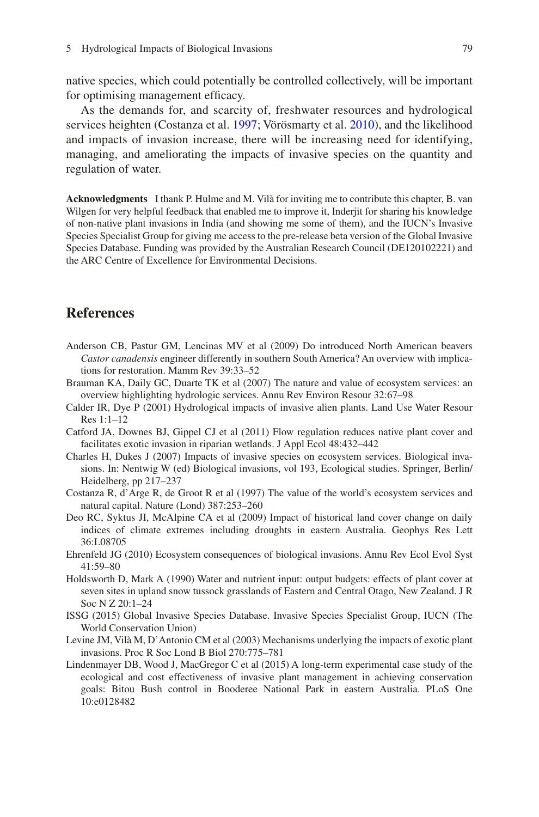native species, which could potentially be controlled collectively, will be important for optimising management efficacy.

As the demands for, and scarcity of, freshwater resources and hydrological services heighten (Costanza et al. [1997;](#page-16-0) Vörösmarty et al. [2010](#page-17-1)), and the likelihood and impacts of invasion increase, there will be increasing need for identifying, managing, and ameliorating the impacts of invasive species on the quantity and regulation of water.

**Acknowledgments** I thank P. Hulme and M. Vilà for inviting me to contribute this chapter, B. van Wilgen for very helpful feedback that enabled me to improve it, Inderjit for sharing his knowledge of non-native plant invasions in India (and showing me some of them), and the IUCN's Invasive Species Specialist Group for giving me access to the pre-release beta version of the Global Invasive Species Database. Funding was provided by the Australian Research Council (DE120102221) and the ARC Centre of Excellence for Environmental Decisions.

#### **References**

- <span id="page-16-2"></span>Anderson CB, Pastur GM, Lencinas MV et al (2009) Do introduced North American beavers *Castor canadensis* engineer differently in southern South America? An overview with implications for restoration. Mamm Rev 39:33–52
- <span id="page-16-4"></span>Brauman KA, Daily GC, Duarte TK et al (2007) The nature and value of ecosystem services: an overview highlighting hydrologic services. Annu Rev Environ Resour 32:67–98
- <span id="page-16-6"></span>Calder IR, Dye P (2001) Hydrological impacts of invasive alien plants. Land Use Water Resour Res 1:1–12
- <span id="page-16-1"></span>Catford JA, Downes BJ, Gippel CJ et al (2011) Flow regulation reduces native plant cover and facilitates exotic invasion in riparian wetlands. J Appl Ecol 48:432–442
- <span id="page-16-7"></span>Charles H, Dukes J (2007) Impacts of invasive species on ecosystem services. Biological invasions. In: Nentwig W (ed) Biological invasions, vol 193, Ecological studies. Springer, Berlin/ Heidelberg, pp 217–237
- <span id="page-16-0"></span>Costanza R, d'Arge R, de Groot R et al (1997) The value of the world's ecosystem services and natural capital. Nature (Lond) 387:253–260
- <span id="page-16-8"></span>Deo RC, Syktus JI, McAlpine CA et al (2009) Impact of historical land cover change on daily indices of climate extremes including droughts in eastern Australia. Geophys Res Lett 36:L08705
- <span id="page-16-9"></span>Ehrenfeld JG (2010) Ecosystem consequences of biological invasions. Annu Rev Ecol Evol Syst 41:59–80
- <span id="page-16-5"></span>Holdsworth D, Mark A (1990) Water and nutrient input: output budgets: effects of plant cover at seven sites in upland snow tussock grasslands of Eastern and Central Otago, New Zealand. J R Soc N Z 20:1–24
- <span id="page-16-3"></span>ISSG (2015) Global Invasive Species Database. Invasive Species Specialist Group, IUCN (The World Conservation Union)
- <span id="page-16-10"></span>Levine JM, Vilà M, D'Antonio CM et al (2003) Mechanisms underlying the impacts of exotic plant invasions. Proc R Soc Lond B Biol 270:775–781
- <span id="page-16-11"></span>Lindenmayer DB, Wood J, MacGregor C et al (2015) A long-term experimental case study of the ecological and cost effectiveness of invasive plant management in achieving conservation goals: Bitou Bush control in Booderee National Park in eastern Australia. PLoS One 10:e0128482